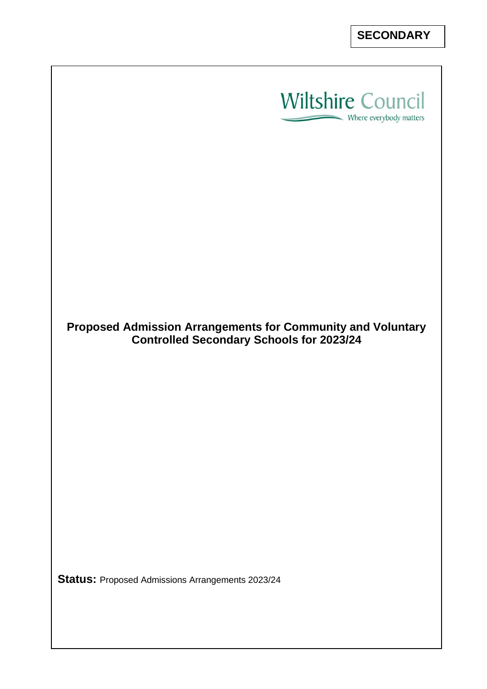



**Proposed Admission Arrangements for Community and Voluntary Controlled Secondary Schools for 2023/24**

**Status:** Proposed Admissions Arrangements 2023/24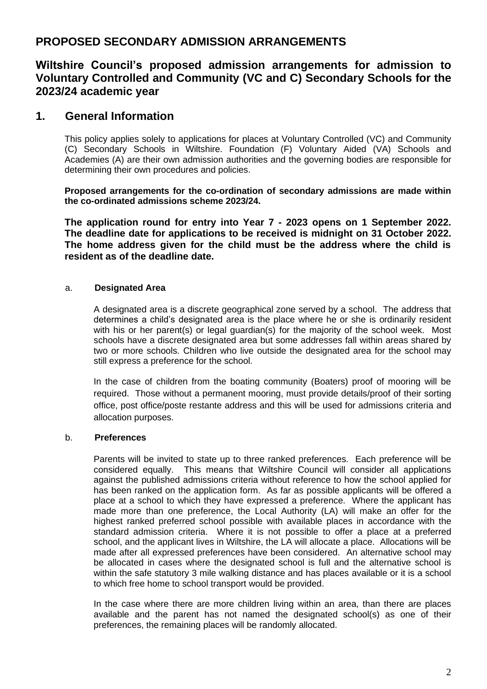# **PROPOSED SECONDARY ADMISSION ARRANGEMENTS**

## **Wiltshire Council's proposed admission arrangements for admission to Voluntary Controlled and Community (VC and C) Secondary Schools for the 2023/24 academic year**

## **1. General Information**

This policy applies solely to applications for places at Voluntary Controlled (VC) and Community (C) Secondary Schools in Wiltshire. Foundation (F) Voluntary Aided (VA) Schools and Academies (A) are their own admission authorities and the governing bodies are responsible for determining their own procedures and policies.

**Proposed arrangements for the co-ordination of secondary admissions are made within the co-ordinated admissions scheme 2023/24.**

**The application round for entry into Year 7 - 2023 opens on 1 September 2022. The deadline date for applications to be received is midnight on 31 October 2022. The home address given for the child must be the address where the child is resident as of the deadline date.**

### a. **Designated Area**

A designated area is a discrete geographical zone served by a school. The address that determines a child's designated area is the place where he or she is ordinarily resident with his or her parent(s) or legal guardian(s) for the majority of the school week. Most schools have a discrete designated area but some addresses fall within areas shared by two or more schools. Children who live outside the designated area for the school may still express a preference for the school.

In the case of children from the boating community (Boaters) proof of mooring will be required. Those without a permanent mooring, must provide details/proof of their sorting office, post office/poste restante address and this will be used for admissions criteria and allocation purposes.

### b. **Preferences**

Parents will be invited to state up to three ranked preferences. Each preference will be considered equally. This means that Wiltshire Council will consider all applications against the published admissions criteria without reference to how the school applied for has been ranked on the application form. As far as possible applicants will be offered a place at a school to which they have expressed a preference. Where the applicant has made more than one preference, the Local Authority (LA) will make an offer for the highest ranked preferred school possible with available places in accordance with the standard admission criteria. Where it is not possible to offer a place at a preferred school, and the applicant lives in Wiltshire, the LA will allocate a place. Allocations will be made after all expressed preferences have been considered. An alternative school may be allocated in cases where the designated school is full and the alternative school is within the safe statutory 3 mile walking distance and has places available or it is a school to which free home to school transport would be provided.

In the case where there are more children living within an area, than there are places available and the parent has not named the designated school(s) as one of their preferences, the remaining places will be randomly allocated.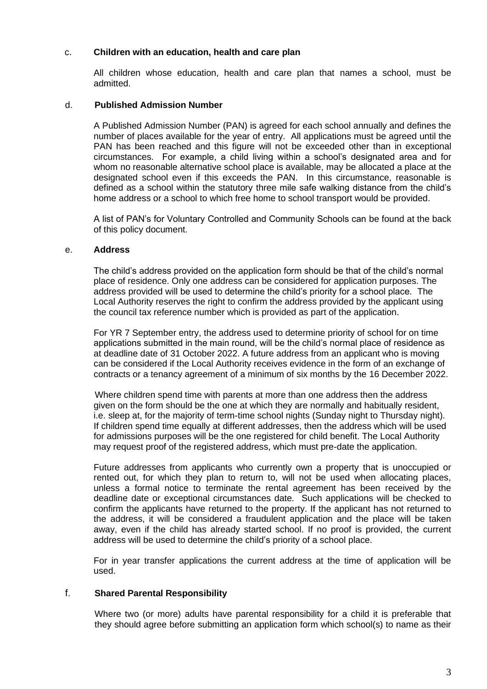### c. **Children with an education, health and care plan**

All children whose education, health and care plan that names a school, must be admitted.

#### d. **Published Admission Number**

A Published Admission Number (PAN) is agreed for each school annually and defines the number of places available for the year of entry. All applications must be agreed until the PAN has been reached and this figure will not be exceeded other than in exceptional circumstances. For example, a child living within a school's designated area and for whom no reasonable alternative school place is available, may be allocated a place at the designated school even if this exceeds the PAN. In this circumstance, reasonable is defined as a school within the statutory three mile safe walking distance from the child's home address or a school to which free home to school transport would be provided.

A list of PAN's for Voluntary Controlled and Community Schools can be found at the back of this policy document.

#### e. **Address**

The child's address provided on the application form should be that of the child's normal place of residence. Only one address can be considered for application purposes. The address provided will be used to determine the child's priority for a school place. The Local Authority reserves the right to confirm the address provided by the applicant using the council tax reference number which is provided as part of the application.

For YR 7 September entry, the address used to determine priority of school for on time applications submitted in the main round, will be the child's normal place of residence as at deadline date of 31 October 2022. A future address from an applicant who is moving can be considered if the Local Authority receives evidence in the form of an exchange of contracts or a tenancy agreement of a minimum of six months by the 16 December 2022.

Where children spend time with parents at more than one address then the address given on the form should be the one at which they are normally and habitually resident, i.e. sleep at, for the majority of term-time school nights (Sunday night to Thursday night). If children spend time equally at different addresses, then the address which will be used for admissions purposes will be the one registered for child benefit. The Local Authority may request proof of the registered address, which must pre-date the application.

Future addresses from applicants who currently own a property that is unoccupied or rented out, for which they plan to return to, will not be used when allocating places, unless a formal notice to terminate the rental agreement has been received by the deadline date or exceptional circumstances date. Such applications will be checked to confirm the applicants have returned to the property. If the applicant has not returned to the address, it will be considered a fraudulent application and the place will be taken away, even if the child has already started school. If no proof is provided, the current address will be used to determine the child's priority of a school place.

For in year transfer applications the current address at the time of application will be used.

### f. **Shared Parental Responsibility**

Where two (or more) adults have parental responsibility for a child it is preferable that they should agree before submitting an application form which school(s) to name as their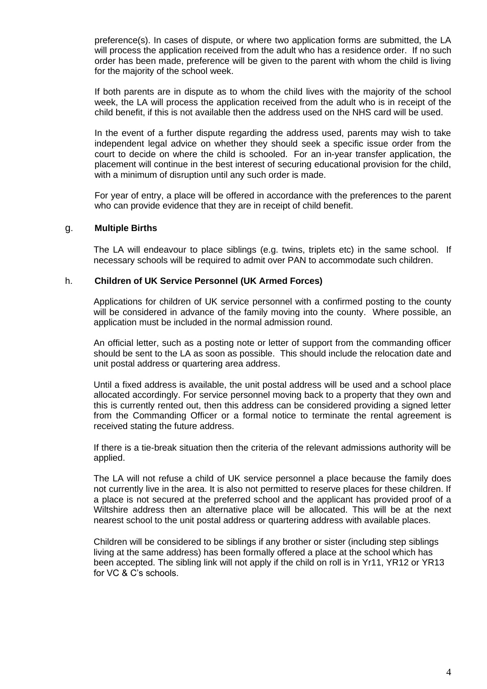preference(s). In cases of dispute, or where two application forms are submitted, the LA will process the application received from the adult who has a residence order. If no such order has been made, preference will be given to the parent with whom the child is living for the majority of the school week.

If both parents are in dispute as to whom the child lives with the majority of the school week, the LA will process the application received from the adult who is in receipt of the child benefit, if this is not available then the address used on the NHS card will be used.

In the event of a further dispute regarding the address used, parents may wish to take independent legal advice on whether they should seek a specific issue order from the court to decide on where the child is schooled. For an in-year transfer application, the placement will continue in the best interest of securing educational provision for the child, with a minimum of disruption until any such order is made.

For year of entry, a place will be offered in accordance with the preferences to the parent who can provide evidence that they are in receipt of child benefit.

### g. **Multiple Births**

The LA will endeavour to place siblings (e.g. twins, triplets etc) in the same school. If necessary schools will be required to admit over PAN to accommodate such children.

#### h. **Children of UK Service Personnel (UK Armed Forces)**

Applications for children of UK service personnel with a confirmed posting to the county will be considered in advance of the family moving into the county. Where possible, an application must be included in the normal admission round.

An official letter, such as a posting note or letter of support from the commanding officer should be sent to the LA as soon as possible. This should include the relocation date and unit postal address or quartering area address.

Until a fixed address is available, the unit postal address will be used and a school place allocated accordingly. For service personnel moving back to a property that they own and this is currently rented out, then this address can be considered providing a signed letter from the Commanding Officer or a formal notice to terminate the rental agreement is received stating the future address.

If there is a tie-break situation then the criteria of the relevant admissions authority will be applied.

The LA will not refuse a child of UK service personnel a place because the family does not currently live in the area. It is also not permitted to reserve places for these children. If a place is not secured at the preferred school and the applicant has provided proof of a Wiltshire address then an alternative place will be allocated. This will be at the next nearest school to the unit postal address or quartering address with available places.

Children will be considered to be siblings if any brother or sister (including step siblings living at the same address) has been formally offered a place at the school which has been accepted. The sibling link will not apply if the child on roll is in Yr11, YR12 or YR13 for VC & C's schools.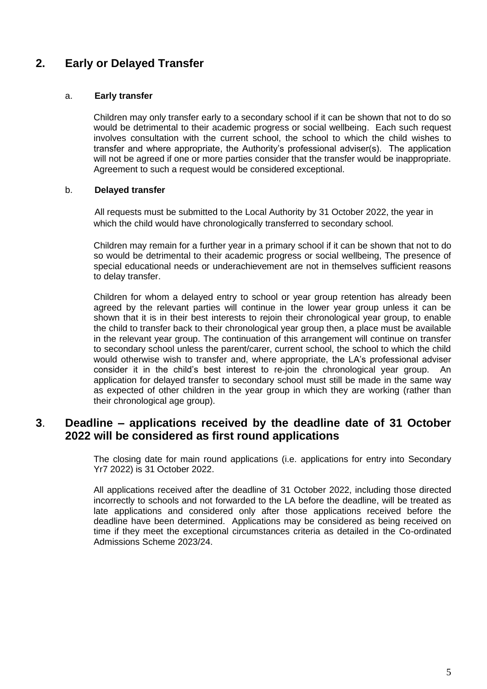# **2. Early or Delayed Transfer**

### a. **Early transfer**

Children may only transfer early to a secondary school if it can be shown that not to do so would be detrimental to their academic progress or social wellbeing. Each such request involves consultation with the current school, the school to which the child wishes to transfer and where appropriate, the Authority's professional adviser(s). The application will not be agreed if one or more parties consider that the transfer would be inappropriate. Agreement to such a request would be considered exceptional.

### b. **Delayed transfer**

All requests must be submitted to the Local Authority by 31 October 2022, the year in which the child would have chronologically transferred to secondary school.

Children may remain for a further year in a primary school if it can be shown that not to do so would be detrimental to their academic progress or social wellbeing, The presence of special educational needs or underachievement are not in themselves sufficient reasons to delay transfer.

Children for whom a delayed entry to school or year group retention has already been agreed by the relevant parties will continue in the lower year group unless it can be shown that it is in their best interests to rejoin their chronological year group, to enable the child to transfer back to their chronological year group then, a place must be available in the relevant year group. The continuation of this arrangement will continue on transfer to secondary school unless the parent/carer, current school, the school to which the child would otherwise wish to transfer and, where appropriate, the LA's professional adviser consider it in the child's best interest to re-join the chronological year group. An application for delayed transfer to secondary school must still be made in the same way as expected of other children in the year group in which they are working (rather than their chronological age group).

## **3**. **Deadline – applications received by the deadline date of 31 October 2022 will be considered as first round applications**

The closing date for main round applications (i.e. applications for entry into Secondary Yr7 2022) is 31 October 2022.

All applications received after the deadline of 31 October 2022, including those directed incorrectly to schools and not forwarded to the LA before the deadline, will be treated as late applications and considered only after those applications received before the deadline have been determined. Applications may be considered as being received on time if they meet the exceptional circumstances criteria as detailed in the Co-ordinated Admissions Scheme 2023/24.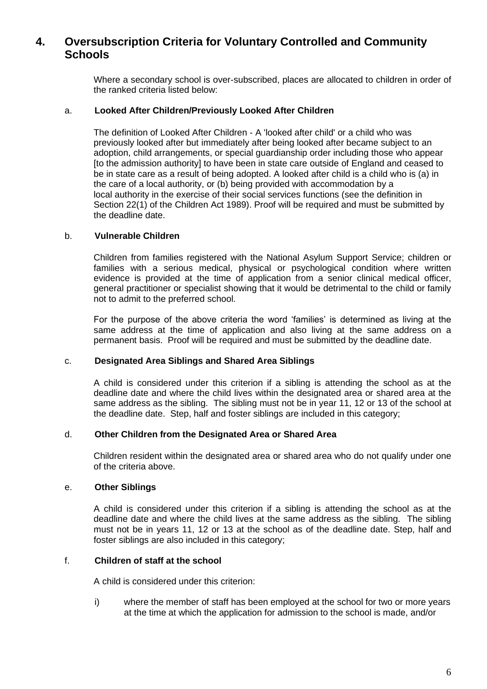# **4. Oversubscription Criteria for Voluntary Controlled and Community Schools**

Where a secondary school is over-subscribed, places are allocated to children in order of the ranked criteria listed below:

#### a. **Looked After Children/Previously Looked After Children**

The definition of Looked After Children - A 'looked after child' or a child who was previously looked after but immediately after being looked after became subject to an adoption, child arrangements, or special guardianship order including those who appear [to the admission authority] to have been in state care outside of England and ceased to be in state care as a result of being adopted. A looked after child is a child who is (a) in the care of a local authority, or (b) being provided with accommodation by a local authority in the exercise of their social services functions (see the definition in Section 22(1) of the Children Act 1989). Proof will be required and must be submitted by the deadline date.

### b. **Vulnerable Children**

Children from families registered with the National Asylum Support Service; children or families with a serious medical, physical or psychological condition where written evidence is provided at the time of application from a senior clinical medical officer, general practitioner or specialist showing that it would be detrimental to the child or family not to admit to the preferred school.

For the purpose of the above criteria the word 'families' is determined as living at the same address at the time of application and also living at the same address on a permanent basis. Proof will be required and must be submitted by the deadline date.

#### c. **Designated Area Siblings and Shared Area Siblings**

A child is considered under this criterion if a sibling is attending the school as at the deadline date and where the child lives within the designated area or shared area at the same address as the sibling. The sibling must not be in year 11, 12 or 13 of the school at the deadline date. Step, half and foster siblings are included in this category;

#### d. **Other Children from the Designated Area or Shared Area**

Children resident within the designated area or shared area who do not qualify under one of the criteria above.

### e. **Other Siblings**

A child is considered under this criterion if a sibling is attending the school as at the deadline date and where the child lives at the same address as the sibling. The sibling must not be in years 11, 12 or 13 at the school as of the deadline date. Step, half and foster siblings are also included in this category;

### f. **Children of staff at the school**

A child is considered under this criterion:

i) where the member of staff has been employed at the school for two or more years at the time at which the application for admission to the school is made, and/or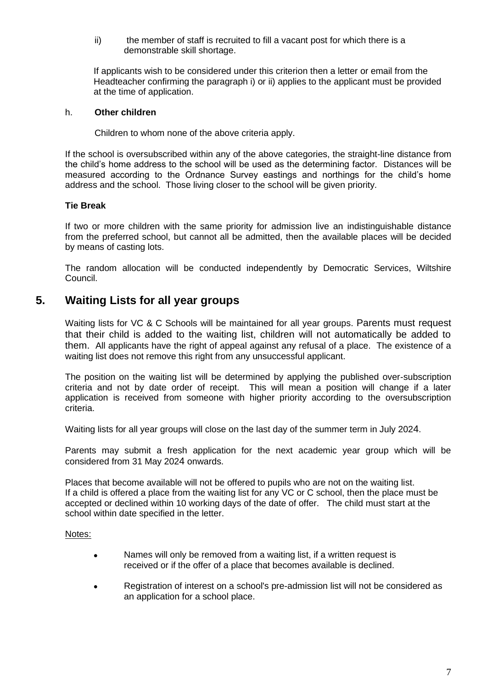ii) the member of staff is recruited to fill a vacant post for which there is a demonstrable skill shortage.

If applicants wish to be considered under this criterion then a letter or email from the Headteacher confirming the paragraph i) or ii) applies to the applicant must be provided at the time of application.

### h. **Other children**

Children to whom none of the above criteria apply.

If the school is oversubscribed within any of the above categories, the straight-line distance from the child's home address to the school will be used as the determining factor. Distances will be measured according to the Ordnance Survey eastings and northings for the child's home address and the school. Those living closer to the school will be given priority*.*

### **Tie Break**

If two or more children with the same priority for admission live an indistinguishable distance from the preferred school, but cannot all be admitted, then the available places will be decided by means of casting lots.

The random allocation will be conducted independently by Democratic Services, Wiltshire Council.

## **5. Waiting Lists for all year groups**

Waiting lists for VC & C Schools will be maintained for all year groups. Parents must request that their child is added to the waiting list, children will not automatically be added to them. All applicants have the right of appeal against any refusal of a place. The existence of a waiting list does not remove this right from any unsuccessful applicant.

The position on the waiting list will be determined by applying the published over-subscription criteria and not by date order of receipt. This will mean a position will change if a later application is received from someone with higher priority according to the oversubscription criteria.

Waiting lists for all year groups will close on the last day of the summer term in July 2024.

Parents may submit a fresh application for the next academic year group which will be considered from 31 May 2024 onwards.

Places that become available will not be offered to pupils who are not on the waiting list. If a child is offered a place from the waiting list for any VC or C school, then the place must be accepted or declined within 10 working days of the date of offer. The child must start at the school within date specified in the letter.

#### Notes:

- Names will only be removed from a waiting list, if a written request is received or if the offer of a place that becomes available is declined.
- Registration of interest on a school's pre-admission list will not be considered as an application for a school place.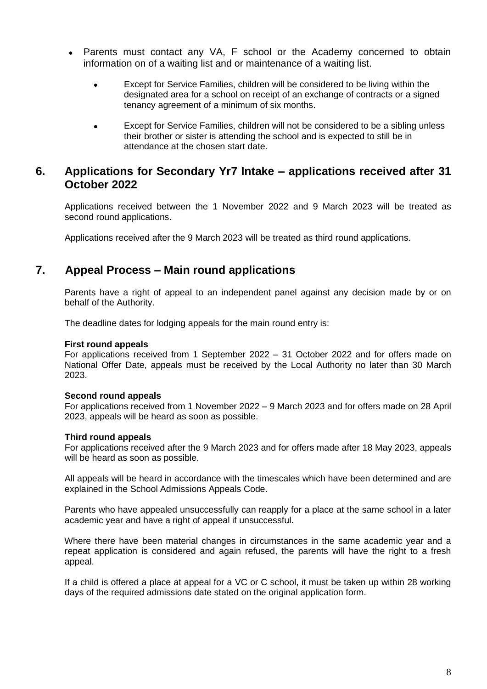- Parents must contact any VA, F school or the Academy concerned to obtain information on of a waiting list and or maintenance of a waiting list.
	- Except for Service Families, children will be considered to be living within the designated area for a school on receipt of an exchange of contracts or a signed tenancy agreement of a minimum of six months.
	- Except for Service Families, children will not be considered to be a sibling unless their brother or sister is attending the school and is expected to still be in attendance at the chosen start date.

## **6. Applications for Secondary Yr7 Intake – applications received after 31 October 2022**

Applications received between the 1 November 2022 and 9 March 2023 will be treated as second round applications.

Applications received after the 9 March 2023 will be treated as third round applications.

## **7. Appeal Process – Main round applications**

Parents have a right of appeal to an independent panel against any decision made by or on behalf of the Authority.

The deadline dates for lodging appeals for the main round entry is:

#### **First round appeals**

For applications received from 1 September 2022 – 31 October 2022 and for offers made on National Offer Date, appeals must be received by the Local Authority no later than 30 March 2023.

### **Second round appeals**

For applications received from 1 November 2022 – 9 March 2023 and for offers made on 28 April 2023, appeals will be heard as soon as possible.

### **Third round appeals**

For applications received after the 9 March 2023 and for offers made after 18 May 2023, appeals will be heard as soon as possible.

All appeals will be heard in accordance with the timescales which have been determined and are explained in the School Admissions Appeals Code.

Parents who have appealed unsuccessfully can reapply for a place at the same school in a later academic year and have a right of appeal if unsuccessful.

 Where there have been material changes in circumstances in the same academic year and a repeat application is considered and again refused, the parents will have the right to a fresh appeal.

If a child is offered a place at appeal for a VC or C school, it must be taken up within 28 working days of the required admissions date stated on the original application form.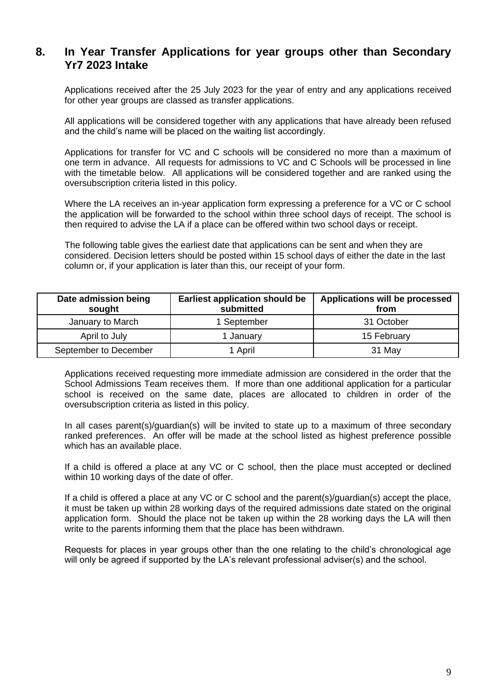## **8. In Year Transfer Applications for year groups other than Secondary Yr7 2023 Intake**

Applications received after the 25 July 2023 for the year of entry and any applications received for other year groups are classed as transfer applications.

All applications will be considered together with any applications that have already been refused and the child's name will be placed on the waiting list accordingly.

Applications for transfer for VC and C schools will be considered no more than a maximum of one term in advance. All requests for admissions to VC and C Schools will be processed in line with the timetable below. All applications will be considered together and are ranked using the oversubscription criteria listed in this policy.

Where the LA receives an in-year application form expressing a preference for a VC or C school the application will be forwarded to the school within three school days of receipt. The school is then required to advise the LA if a place can be offered within two school days or receipt.

The following table gives the earliest date that applications can be sent and when they are considered. Decision letters should be posted within 15 school days of either the date in the last column or, if your application is later than this, our receipt of your form.

| Date admission being<br>sought | <b>Earliest application should be</b><br>submitted | Applications will be processed<br>from |
|--------------------------------|----------------------------------------------------|----------------------------------------|
| January to March               | 1 September                                        | 31 October                             |
| April to July                  | 1 January                                          | 15 February                            |
| September to December          | 1 April                                            | 31 May                                 |

Applications received requesting more immediate admission are considered in the order that the School Admissions Team receives them. If more than one additional application for a particular school is received on the same date, places are allocated to children in order of the oversubscription criteria as listed in this policy.

In all cases parent(s)/guardian(s) will be invited to state up to a maximum of three secondary ranked preferences. An offer will be made at the school listed as highest preference possible which has an available place.

If a child is offered a place at any VC or C school, then the place must accepted or declined within 10 working days of the date of offer.

If a child is offered a place at any VC or C school and the parent(s)/guardian(s) accept the place, it must be taken up within 28 working days of the required admissions date stated on the original application form. Should the place not be taken up within the 28 working days the LA will then write to the parents informing them that the place has been withdrawn.

Requests for places in year groups other than the one relating to the child's chronological age will only be agreed if supported by the LA's relevant professional adviser(s) and the school.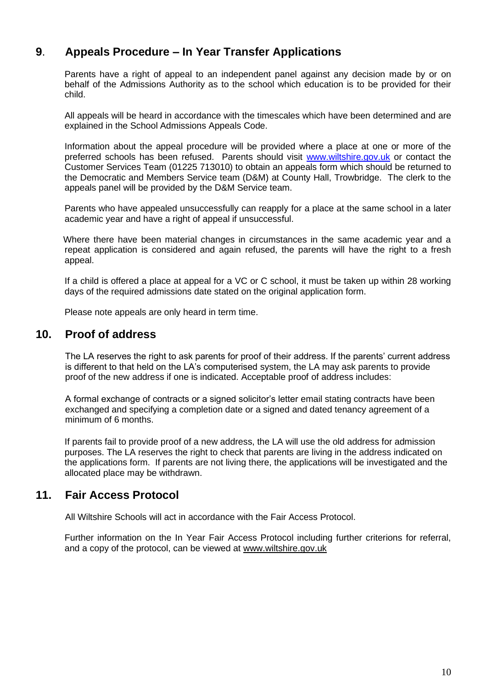# **9**. **Appeals Procedure – In Year Transfer Applications**

Parents have a right of appeal to an independent panel against any decision made by or on behalf of the Admissions Authority as to the school which education is to be provided for their child.

All appeals will be heard in accordance with the timescales which have been determined and are explained in the School Admissions Appeals Code.

Information about the appeal procedure will be provided where a place at one or more of the preferred schools has been refused. Parents should visit [www.wiltshire.gov.uk](http://www.wiltshire.gov.uk/) or contact the Customer Services Team (01225 713010) to obtain an appeals form which should be returned to the Democratic and Members Service team (D&M) at County Hall, Trowbridge. The clerk to the appeals panel will be provided by the D&M Service team.

Parents who have appealed unsuccessfully can reapply for a place at the same school in a later academic year and have a right of appeal if unsuccessful.

 Where there have been material changes in circumstances in the same academic year and a repeat application is considered and again refused, the parents will have the right to a fresh appeal.

If a child is offered a place at appeal for a VC or C school, it must be taken up within 28 working days of the required admissions date stated on the original application form.

Please note appeals are only heard in term time.

## **10. Proof of address**

The LA reserves the right to ask parents for proof of their address. If the parents' current address is different to that held on the LA's computerised system, the LA may ask parents to provide proof of the new address if one is indicated. Acceptable proof of address includes:

A formal exchange of contracts or a signed solicitor's letter email stating contracts have been exchanged and specifying a completion date or a signed and dated tenancy agreement of a minimum of 6 months.

If parents fail to provide proof of a new address, the LA will use the old address for admission purposes. The LA reserves the right to check that parents are living in the address indicated on the applications form. If parents are not living there, the applications will be investigated and the allocated place may be withdrawn.

## **11. Fair Access Protocol**

All Wiltshire Schools will act in accordance with the Fair Access Protocol.

Further information on the In Year Fair Access Protocol including further criterions for referral, and a copy of the protocol, can be viewed at [www.wiltshire.gov.uk](http://www.wiltshire.gov.uk/)